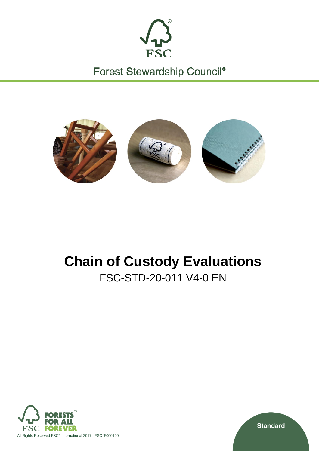

Forest Stewardship Council®



# **Chain of Custody Evaluations** FSC-STD-20-011 V4-0 EN



**Standard**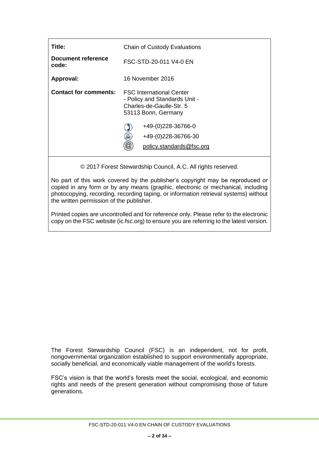| Title:                       | <b>Chain of Custody Evaluations</b>                                                                                 |  |  |  |
|------------------------------|---------------------------------------------------------------------------------------------------------------------|--|--|--|
| Document reference<br>code:  | FSC-STD-20-011 V4-0 EN                                                                                              |  |  |  |
| Approval:                    | 16 November 2016                                                                                                    |  |  |  |
| <b>Contact for comments:</b> | <b>FSC International Center</b><br>- Policy and Standards Unit -<br>Charles-de-Gaulle-Str. 5<br>53113 Bonn, Germany |  |  |  |
|                              | +49-(0)228-36766-0<br>昌<br>+49-(0)228-36766-30                                                                      |  |  |  |
|                              | policy.standards@fsc.org                                                                                            |  |  |  |

© 2017 Forest Stewardship Council, A.C. All rights reserved.

No part of this work covered by the publisher's copyright may be reproduced or copied in any form or by any means (graphic, electronic or mechanical, including photocopying, recording, recording taping, or information retrieval systems) without the written permission of the publisher.

Printed copies are uncontrolled and for reference only. Please refer to the electronic copy on the FSC website (ic.fsc.org) to ensure you are referring to the latest version.

The Forest Stewardship Council (FSC) is an independent, not for profit, nongovernmental organization established to support environmentally appropriate, socially beneficial, and economically viable management of the world's forests.

FSC's vision is that the world's forests meet the social, ecological, and economic rights and needs of the present generation without compromising those of future generations.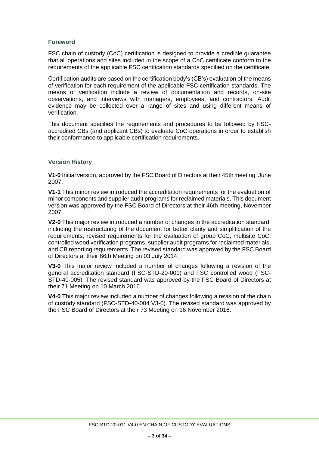# **Foreword**

FSC chain of custody (CoC) certification is designed to provide a credible guarantee that all operations and sites included in the scope of a CoC certificate conform to the requirements of the applicable FSC certification standards specified on the certificate.

Certification audits are based on the certification body's (CB's) evaluation of the means of verification for each requirement of the applicable FSC certification standards. The means of verification include a review of documentation and records, on-site observations, and interviews with managers, employees, and contractors. Audit evidence may be collected over a range of sites and using different means of verification.

This document specifies the requirements and procedures to be followed by FSCaccredited CBs (and applicant CBs) to evaluate CoC operations in order to establish their conformance to applicable certification requirements.

#### **Version History**

**V1-0** Initial version, approved by the FSC Board of Directors at their 45thmeeting, June 2007.

**V1-1** This minor review introduced the accreditation requirements for the evaluation of minor components and supplier audit programs for reclaimed materials. This document version was approved by the FSC Board of Directors at their 46th meeting, November 2007.

**V2-0** This major review introduced a number of changes in the accreditation standard, including the restructuring of the document for better clarity and simplification of the requirements, revised requirements for the evaluation of group CoC, multisite CoC, controlled wood verification programs, supplier audit programs for reclaimed materials, and CB reporting requirements. The revised standard was approved by the FSC Board of Directors at their 66th Meeting on 03 July 2014.

**V3-0** This major review included a number of changes following a revision of the general accreditation standard (FSC-STD-20-001) and FSC controlled wood (FSC-STD-40-005). The revised standard was approved by the FSC Board of Directors at their 71 Meeting on 10 March 2016.

**V4-0** This major review included a number of changes following a revision of the chain of custody standard (FSC-STD-40-004 V3-0). The revised standard was approved by the FSC Board of Directors at their 73 Meeting on 16 November 2016.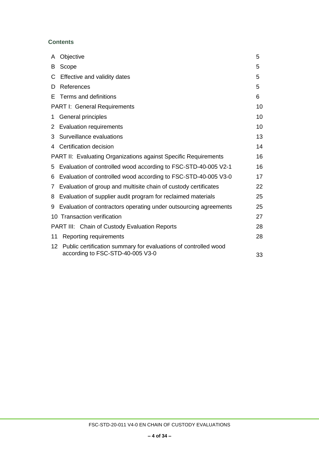# **Contents**

| A  | Objective                                                              | 5  |
|----|------------------------------------------------------------------------|----|
| B  | Scope                                                                  | 5  |
| C  | Effective and validity dates                                           | 5  |
| D  | References                                                             | 5  |
| Е  | Terms and definitions                                                  | 6  |
|    | <b>PART I: General Requirements</b>                                    | 10 |
| 1  | General principles                                                     | 10 |
| 2  | <b>Evaluation requirements</b>                                         | 10 |
| 3  | Surveillance evaluations                                               | 13 |
| 4  | Certification decision                                                 | 14 |
|    | <b>PART II: Evaluating Organizations against Specific Requirements</b> | 16 |
| 5  | Evaluation of controlled wood according to FSC-STD-40-005 V2-1         | 16 |
| 6  | Evaluation of controlled wood according to FSC-STD-40-005 V3-0         | 17 |
| 7  | Evaluation of group and multisite chain of custody certificates        | 22 |
| 8  | Evaluation of supplier audit program for reclaimed materials           | 25 |
| 9  | Evaluation of contractors operating under outsourcing agreements       | 25 |
|    | 10 Transaction verification                                            | 27 |
|    | <b>PART III: Chain of Custody Evaluation Reports</b>                   | 28 |
| 11 | Reporting requirements                                                 | 28 |
| 12 | Public certification summary for evaluations of controlled wood        |    |
|    | according to FSC-STD-40-005 V3-0                                       | 33 |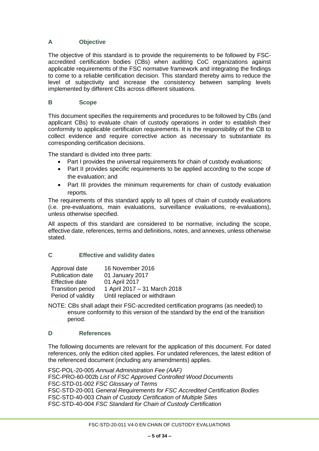# <span id="page-4-0"></span>**A Objective**

<span id="page-4-1"></span>The objective of this standard is to provide the requirements to be followed by FSCaccredited certification bodies (CBs) when auditing CoC organizations against applicable requirements of the FSC normative framework and integrating the findings to come to a reliable certification decision. This standard thereby aims to reduce the level of subjectivity and increase the consistency between sampling levels implemented by different CBs across different situations.

# **B Scope**

This document specifies the requirements and procedures to be followed by CBs (and applicant CBs) to evaluate chain of custody operations in order to establish their conformity to applicable certification requirements. It is the responsibility of the CB to collect evidence and require corrective action as necessary to substantiate its corresponding certification decisions.

The standard is divided into three parts:

- Part I provides the universal requirements for chain of custody evaluations;
- Part II provides specific requirements to be applied according to the scope of the evaluation; and
- Part III provides the minimum requirements for chain of custody evaluation reports.

The requirements of this standard apply to all types of chain of custody evaluations (i.e. pre-evaluations, main evaluations, surveillance evaluations, re-evaluations), unless otherwise specified.

All aspects of this standard are considered to be normative, including the scope, effective date, references, terms and definitions, notes, and annexes, unless otherwise stated.

# <span id="page-4-2"></span>**C Effective and validity dates**

| Approval date            | 16 November 2016             |
|--------------------------|------------------------------|
| Publication date         | 01 January 2017              |
| Effective date           | 01 April 2017                |
| <b>Transition period</b> | 1 April 2017 - 31 March 2018 |
| Period of validity       | Until replaced or withdrawn  |

NOTE: CBs shall adapt their FSC-accredited certification programs (as needed) to ensure conformity to this version of the standard by the end of the transition period.

# **D References**

The following documents are relevant for the application of this document. For dated references, only the edition cited applies. For undated references, the latest edition of the referenced document (including any amendments) applies.

FSC-POL-20-005 *Annual Administration Fee (AAF)* FSC-PRO-60-002b *List of FSC Approved Controlled Wood Documents* FSC-STD-01-002 *FSC Glossary of Terms* FSC-STD-20-001 *General Requirements for FSC Accredited Certification Bodies* FSC-STD-40-003 *Chain of Custody Certification of Multiple Sites* FSC-STD-40-004 *FSC Standard for Chain of Custody Certification*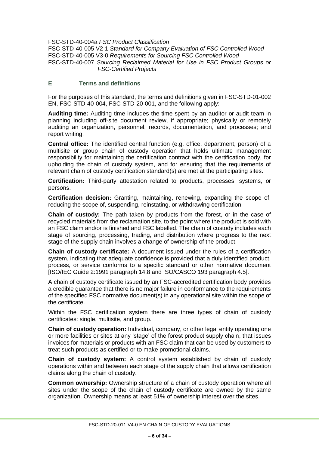FSC-STD-40-004a *FSC Product Classification* FSC-STD-40-005 V2-1 *Standard for Company Evaluation of FSC Controlled Wood* FSC-STD-40-005 V3-0 *Requirements for Sourcing FSC Controlled Wood* FSC-STD-40-007 *Sourcing Reclaimed Material for Use in FSC Product Groups or FSC-Certified Projects*

#### **E Terms and definitions**

For the purposes of this standard, the terms and definitions given in FSC-STD-01-002 EN, FSC-STD-40-004, FSC-STD-20-001, and the following apply:

**Auditing time:** Auditing time includes the time spent by an auditor or audit team in planning including off-site document review, if appropriate; physically or remotely auditing an organization, personnel, records, documentation, and processes; and report writing.

**Central office:** The identified central function (e.g. office, department, person) of a multisite or group chain of custody operation that holds ultimate management responsibility for maintaining the certification contract with the certification body, for upholding the chain of custody system, and for ensuring that the requirements of relevant chain of custody certification standard(s) are met at the participating sites.

**Certification:** Third-party attestation related to products, processes, systems, or persons.

**Certification decision:** Granting, maintaining, renewing, expanding the scope of, reducing the scope of, suspending, reinstating, or withdrawing certification.

**Chain of custody:** The path taken by products from the forest, or in the case of recycled materials from the reclamation site, to the point where the product is sold with an FSC claim and/or is finished and FSC labelled. The chain of custody includes each stage of sourcing, processing, trading, and distribution where progress to the next stage of the supply chain involves a change of ownership of the product.

**Chain of custody certificate:** A document issued under the rules of a certification system, indicating that adequate confidence is provided that a duly identified product, process, or service conforms to a specific standard or other normative document [ISO/IEC Guide 2:1991 paragraph 14.8 and ISO/CASCO 193 paragraph 4.5].

A chain of custody certificate issued by an FSC-accredited certification body provides a credible guarantee that there is no major failure in conformance to the requirements of the specified FSC normative document(s) in any operational site within the scope of the certificate.

Within the FSC certification system there are three types of chain of custody certificates: single, multisite, and group.

**Chain of custody operation:** Individual, company, or other legal entity operating one or more facilities or sites at any 'stage' of the forest product supply chain, that issues invoices for materials or products with an FSC claim that can be used by customers to treat such products as certified or to make promotional claims.

**Chain of custody system:** A control system established by chain of custody operations within and between each stage of the supply chain that allows certification claims along the chain of custody.

**Common ownership:** Ownership structure of a chain of custody operation where all sites under the scope of the chain of custody certificate are owned by the same organization. Ownership means at least 51% of ownership interest over the sites.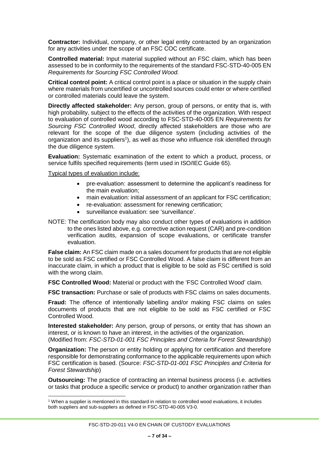**Contractor:** Individual, company, or other legal entity contracted by an organization for any activities under the scope of an FSC COC certificate.

**Controlled material:** Input material supplied without an FSC claim, which has been assessed to be in conformity to the requirements of the standard FSC-STD-40-005 EN *Requirements for Sourcing FSC Controlled Wood.* 

**Critical control point:** A critical control point is a place or situation in the supply chain where materials from uncertified or uncontrolled sources could enter or where certified or controlled materials could leave the system.

**Directly affected stakeholder:** Any person, group of persons, or entity that is, with high probability, subject to the effects of the activities of the organization. With respect to evaluation of controlled wood according to FSC-STD-40-005 EN *Requirements for Sourcing FSC Controlled Wood*, directly affected stakeholders are those who are relevant for the scope of the due diligence system (including activities of the organization and its suppliers<sup>1</sup>), as well as those who influence risk identified through the due diligence system.

**Evaluation:** Systematic examination of the extent to which a product, process, or service fulfils specified requirements (term used in ISO/IEC Guide 65).

Typical types of evaluation include:

 $\overline{a}$ 

- pre-evaluation: assessment to determine the applicant's readiness for the main evaluation;
- main evaluation: initial assessment of an applicant for FSC certification;
- re-evaluation: assessment for renewing certification;
- surveillance evaluation: see 'surveillance'.
- NOTE: The certification body may also conduct other types of evaluations in addition to the ones listed above, e.g. corrective action request (CAR) and pre-condition verification audits, expansion of scope evaluations, or certificate transfer evaluation.

**False claim:** An FSC claim made on a sales document for products that are not eligible to be sold as FSC certified or FSC Controlled Wood. A false claim is different from an inaccurate claim, in which a product that is eligible to be sold as FSC certified is sold with the wrong claim.

**FSC Controlled Wood:** Material or product with the 'FSC Controlled Wood' claim.

**FSC transaction:** Purchase or sale of products with FSC claims on sales documents.

**Fraud:** The offence of intentionally labelling and/or making FSC claims on sales documents of products that are not eligible to be sold as FSC certified or FSC Controlled Wood.

**Interested stakeholder:** Any person, group of persons, or entity that has shown an interest, or is known to have an interest, in the activities of the organization. (Modified from: *FSC-STD-01-001 FSC Principles and Criteria for Forest Stewardship*)

**Organization:** The person or entity holding or applying for certification and therefore responsible for demonstrating conformance to the applicable requirements upon which FSC certification is based. (Source: *FSC-STD-01-001 FSC Principles and Criteria for Forest Stewardship*)

**Outsourcing:** The practice of contracting an internal business process (i.e. activities or tasks that produce a specific service or product) to another organization rather than

<sup>1</sup> When a supplier is mentioned in this standard in relation to controlled wood evaluations, it includes both suppliers and sub-suppliers as defined in FSC-STD-40-005 V3-0.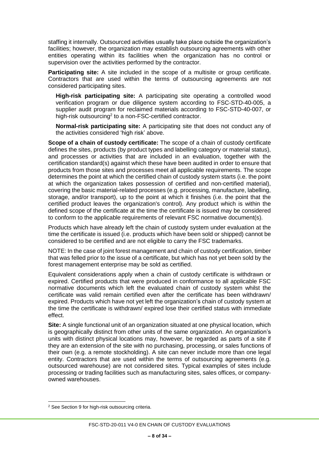staffing it internally. Outsourced activities usually take place outside the organization's facilities; however, the organization may establish outsourcing agreements with other entities operating within its facilities when the organization has no control or supervision over the activities performed by the contractor.

**Participating site:** A site included in the scope of a multisite or group certificate. Contractors that are used within the terms of outsourcing agreements are not considered participating sites.

**High-risk participating site:** A participating site operating a controlled wood verification program or due diligence system according to FSC-STD-40-005, a supplier audit program for reclaimed materials according to FSC-STD-40-007, or high-risk outsourcing<sup>2</sup> to a non-FSC-certified contractor.

**Normal-risk participating site:** A participating site that does not conduct any of the activities considered 'high risk' above.

**Scope of a chain of custody certificate:** The scope of a chain of custody certificate defines the sites, products (by product types and labelling category or material status), and processes or activities that are included in an evaluation, together with the certification standard(s) against which these have been audited in order to ensure that products from those sites and processes meet all applicable requirements. The scope determines the point at which the certified chain of custody system starts (i.e. the point at which the organization takes possession of certified and non-certified material), covering the basic material-related processes (e.g. processing, manufacture, labelling, storage, and/or transport), up to the point at which it finishes (i.e. the point that the certified product leaves the organization's control). Any product which is within the defined scope of the certificate at the time the certificate is issued may be considered to conform to the applicable requirements of relevant FSC normative document(s).

Products which have already left the chain of custody system under evaluation at the time the certificate is issued (i.e. products which have been sold or shipped) cannot be considered to be certified and are not eligible to carry the FSC trademarks.

NOTE: In the case of joint forest management and chain of custody certification, timber that was felled prior to the issue of a certificate, but which has not yet been sold by the forest management enterprise may be sold as certified.

Equivalent considerations apply when a chain of custody certificate is withdrawn or expired. Certified products that were produced in conformance to all applicable FSC normative documents which left the evaluated chain of custody system whilst the certificate was valid remain certified even after the certificate has been withdrawn/ expired. Products which have not yet left the organization's chain of custody system at the time the certificate is withdrawn/ expired lose their certified status with immediate effect.

**Site:** A single functional unit of an organization situated at one physical location, which is geographically distinct from other units of the same organization. An organization's units with distinct physical locations may, however, be regarded as parts of a site if they are an extension of the site with no purchasing, processing, or sales functions of their own (e.g. a remote stockholding). A site can never include more than one legal entity. Contractors that are used within the terms of outsourcing agreements (e.g. outsourced warehouse) are not considered sites. Typical examples of sites include processing or trading facilities such as manufacturing sites, sales offices, or companyowned warehouses.

 $\overline{a}$ <sup>2</sup> See Section 9 for high-risk outsourcing criteria.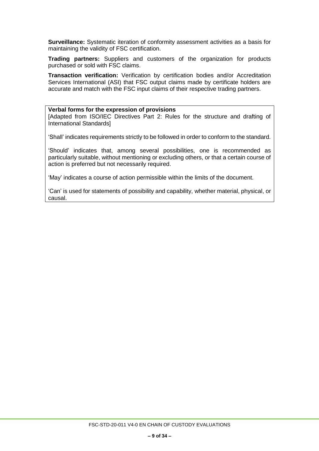**Surveillance:** Systematic iteration of conformity assessment activities as a basis for maintaining the validity of FSC certification.

**Trading partners:** Suppliers and customers of the organization for products purchased or sold with FSC claims.

**Transaction verification:** Verification by certification bodies and/or Accreditation Services International (ASI) that FSC output claims made by certificate holders are accurate and match with the FSC input claims of their respective trading partners.

#### **Verbal forms for the expression of provisions**

[Adapted from ISO/IEC Directives Part 2: Rules for the structure and drafting of International Standards]

'Shall' indicates requirements strictly to be followed in order to conform to the standard.

'Should' indicates that, among several possibilities, one is recommended as particularly suitable, without mentioning or excluding others, or that a certain course of action is preferred but not necessarily required.

'May' indicates a course of action permissible within the limits of the document.

'Can' is used for statements of possibility and capability, whether material, physical, or causal.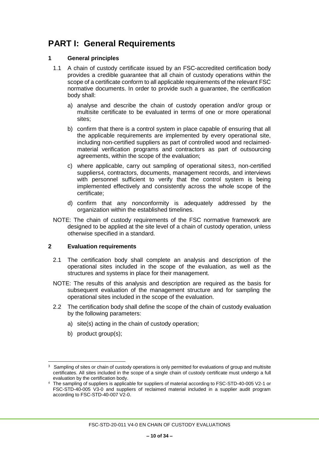# <span id="page-9-0"></span>**PART I: General Requirements**

# **1 General principles**

- 1.1 A chain of custody certificate issued by an FSC-accredited certification body provides a credible guarantee that all chain of custody operations within the scope of a certificate conform to all applicable requirements of the relevant FSC normative documents. In order to provide such a guarantee, the certification body shall:
	- a) analyse and describe the chain of custody operation and/or group or multisite certificate to be evaluated in terms of one or more operational sites;
	- b) confirm that there is a control system in place capable of ensuring that all the applicable requirements are implemented by every operational site, including non-certified suppliers as part of controlled wood and reclaimedmaterial verification programs and contractors as part of outsourcing agreements, within the scope of the evaluation;
	- c) where applicable, carry out sampling of operational sites3, non-certified suppliers4, contractors, documents, management records, and interviews with personnel sufficient to verify that the control system is being implemented effectively and consistently across the whole scope of the certificate;
	- d) confirm that any nonconformity is adequately addressed by the organization within the established timelines.
- NOTE: The chain of custody requirements of the FSC normative framework are designed to be applied at the site level of a chain of custody operation, unless otherwise specified in a standard.

#### <span id="page-9-1"></span>**2 Evaluation requirements**

- 2.1 The certification body shall complete an analysis and description of the operational sites included in the scope of the evaluation, as well as the structures and systems in place for their management.
- NOTE: The results of this analysis and description are required as the basis for subsequent evaluation of the management structure and for sampling the operational sites included in the scope of the evaluation.
- 2.2 The certification body shall define the scope of the chain of custody evaluation by the following parameters:
	- a) site(s) acting in the chain of custody operation;
	- b) product group(s);

 3 Sampling of sites or chain of custody operations is only permitted for evaluations of group and multisite certificates. All sites included in the scope of a single chain of custody certificate must undergo a full evaluation by the certification body.

<sup>4</sup> The sampling of suppliers is applicable for suppliers of material according to FSC-STD-40-005 V2-1 or FSC-STD-40-005 V3-0 and suppliers of reclaimed material included in a supplier audit program according to FSC-STD-40-007 V2-0.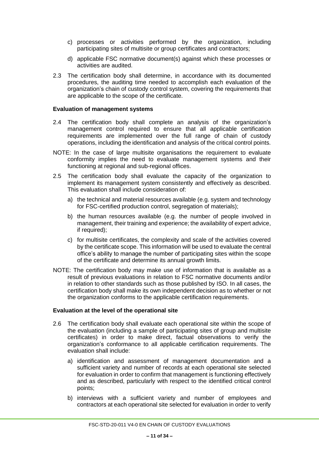- c) processes or activities performed by the organization, including participating sites of multisite or group certificates and contractors;
- d) applicable FSC normative document(s) against which these processes or activities are audited.
- 2.3 The certification body shall determine, in accordance with its documented procedures, the auditing time needed to accomplish each evaluation of the organization's chain of custody control system, covering the requirements that are applicable to the scope of the certificate.

#### **Evaluation of management systems**

- 2.4 The certification body shall complete an analysis of the organization's management control required to ensure that all applicable certification requirements are implemented over the full range of chain of custody operations, including the identification and analysis of the critical control points.
- NOTE: In the case of large multisite organisations the requirement to evaluate conformity implies the need to evaluate management systems and their functioning at regional and sub-regional offices.
- 2.5 The certification body shall evaluate the capacity of the organization to implement its management system consistently and effectively as described. This evaluation shall include consideration of:
	- a) the technical and material resources available (e.g. system and technology for FSC-certified production control, segregation of materials);
	- b) the human resources available (e.g. the number of people involved in management, their training and experience; the availability of expert advice, if required);
	- c) for multisite certificates, the complexity and scale of the activities covered by the certificate scope. This information will be used to evaluate the central office's ability to manage the number of participating sites within the scope of the certificate and determine its annual growth limits.
- NOTE: The certification body may make use of information that is available as a result of previous evaluations in relation to FSC normative documents and/or in relation to other standards such as those published by ISO. In all cases, the certification body shall make its own independent decision as to whether or not the organization conforms to the applicable certification requirements.

#### **Evaluation at the level of the operational site**

- 2.6 The certification body shall evaluate each operational site within the scope of the evaluation (including a sample of participating sites of group and multisite certificates) in order to make direct, factual observations to verify the organization's conformance to all applicable certification requirements. The evaluation shall include:
	- a) identification and assessment of management documentation and a sufficient variety and number of records at each operational site selected for evaluation in order to confirm that management is functioning effectively and as described, particularly with respect to the identified critical control points;
	- b) interviews with a sufficient variety and number of employees and contractors at each operational site selected for evaluation in order to verify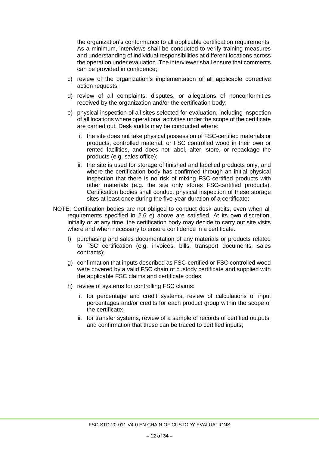the organization's conformance to all applicable certification requirements. As a minimum, interviews shall be conducted to verify training measures and understanding of individual responsibilities at different locations across the operation under evaluation. The interviewer shall ensure that comments can be provided in confidence;

- c) review of the organization's implementation of all applicable corrective action requests;
- d) review of all complaints, disputes, or allegations of nonconformities received by the organization and/or the certification body;
- e) physical inspection of all sites selected for evaluation, including inspection of all locations where operational activities under the scope of the certificate are carried out. Desk audits may be conducted where:
	- i. the site does not take physical possession of FSC-certified materials or products, controlled material, or FSC controlled wood in their own or rented facilities, and does not label, alter, store, or repackage the products (e.g. sales office);
	- ii. the site is used for storage of finished and labelled products only, and where the certification body has confirmed through an initial physical inspection that there is no risk of mixing FSC-certified products with other materials (e.g. the site only stores FSC-certified products). Certification bodies shall conduct physical inspection of these storage sites at least once during the five-year duration of a certificate;
- NOTE: Certification bodies are not obliged to conduct desk audits, even when all requirements specified in 2.6 e) above are satisfied. At its own discretion, initially or at any time, the certification body may decide to carry out site visits where and when necessary to ensure confidence in a certificate.
	- f) purchasing and sales documentation of any materials or products related to FSC certification (e.g. invoices, bills, transport documents, sales contracts);
	- g) confirmation that inputs described as FSC-certified or FSC controlled wood were covered by a valid FSC chain of custody certificate and supplied with the applicable FSC claims and certificate codes;
	- h) review of systems for controlling FSC claims:
		- i. for percentage and credit systems, review of calculations of input percentages and/or credits for each product group within the scope of the certificate;
		- ii. for transfer systems, review of a sample of records of certified outputs, and confirmation that these can be traced to certified inputs;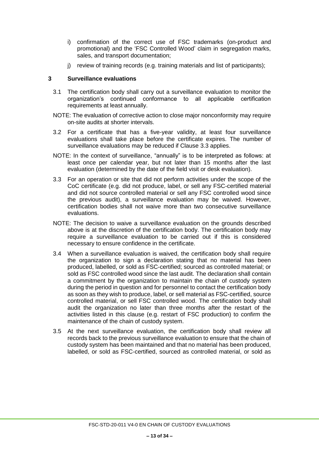- i) confirmation of the correct use of FSC trademarks (on-product and promotional) and the 'FSC Controlled Wood' claim in segregation marks, sales, and transport documentation;
- j) review of training records (e.g. training materials and list of participants);

#### <span id="page-12-0"></span>**3 Surveillance evaluations**

- 3.1 The certification body shall carry out a surveillance evaluation to monitor the organization's continued conformance to all applicable certification requirements at least annually.
- NOTE: The evaluation of corrective action to close major nonconformity may require on-site audits at shorter intervals.
- 3.2 For a certificate that has a five-year validity, at least four surveillance evaluations shall take place before the certificate expires. The number of surveillance evaluations may be reduced if Clause 3.3 applies.
- NOTE: In the context of surveillance, "annually" is to be interpreted as follows: at least once per calendar year, but not later than 15 months after the last evaluation (determined by the date of the field visit or desk evaluation).
- 3.3 For an operation or site that did not perform activities under the scope of the CoC certificate (e.g. did not produce, label, or sell any FSC-certified material and did not source controlled material or sell any FSC controlled wood since the previous audit), a surveillance evaluation may be waived. However, certification bodies shall not waive more than two consecutive surveillance evaluations.
- NOTE: The decision to waive a surveillance evaluation on the grounds described above is at the discretion of the certification body. The certification body may require a surveillance evaluation to be carried out if this is considered necessary to ensure confidence in the certificate.
- 3.4 When a surveillance evaluation is waived, the certification body shall require the organization to sign a declaration stating that no material has been produced, labelled, or sold as FSC-certified; sourced as controlled material; or sold as FSC controlled wood since the last audit. The declaration shall contain a commitment by the organization to maintain the chain of custody system during the period in question and for personnel to contact the certification body as soon as they wish to produce, label, or sell material as FSC-certified, source controlled material, or sell FSC controlled wood. The certification body shall audit the organization no later than three months after the restart of the activities listed in this clause (e.g. restart of FSC production) to confirm the maintenance of the chain of custody system.
- 3.5 At the next surveillance evaluation, the certification body shall review all records back to the previous surveillance evaluation to ensure that the chain of custody system has been maintained and that no material has been produced, labelled, or sold as FSC-certified, sourced as controlled material, or sold as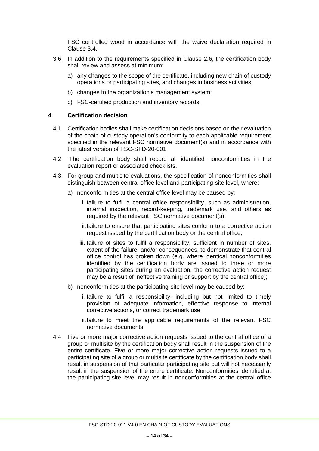FSC controlled wood in accordance with the waive declaration required in Clause 3.4.

- 3.6 In addition to the requirements specified in Clause 2.6, the certification body shall review and assess at minimum:
	- a) any changes to the scope of the certificate, including new chain of custody operations or participating sites, and changes in business activities;
	- b) changes to the organization's management system;
	- c) FSC-certified production and inventory records.

#### <span id="page-13-0"></span>**4 Certification decision**

- 4.1 Certification bodies shall make certification decisions based on their evaluation of the chain of custody operation's conformity to each applicable requirement specified in the relevant FSC normative document(s) and in accordance with the latest version of FSC-STD-20-001.
- 4.2 The certification body shall record all identified nonconformities in the evaluation report or associated checklists.
- 4.3 For group and multisite evaluations, the specification of nonconformities shall distinguish between central office level and participating-site level, where:
	- a) nonconformities at the central office level may be caused by:
		- i. failure to fulfil a central office responsibility, such as administration, internal inspection, record-keeping, trademark use, and others as required by the relevant FSC normative document(s);
		- ii.failure to ensure that participating sites conform to a corrective action request issued by the certification body or the central office;
		- iii. failure of sites to fulfil a responsibility, sufficient in number of sites, extent of the failure, and/or consequences, to demonstrate that central office control has broken down (e.g. where identical nonconformities identified by the certification body are issued to three or more participating sites during an evaluation, the corrective action request may be a result of ineffective training or support by the central office);
	- b) nonconformities at the participating-site level may be caused by:
		- i. failure to fulfil a responsibility, including but not limited to timely provision of adequate information, effective response to internal corrective actions, or correct trademark use;
		- ii.failure to meet the applicable requirements of the relevant FSC normative documents.
- 4.4 Five or more major corrective action requests issued to the central office of a group or multisite by the certification body shall result in the suspension of the entire certificate. Five or more major corrective action requests issued to a participating site of a group or multisite certificate by the certification body shall result in suspension of that particular participating site but will not necessarily result in the suspension of the entire certificate. Nonconformities identified at the participating-site level may result in nonconformities at the central office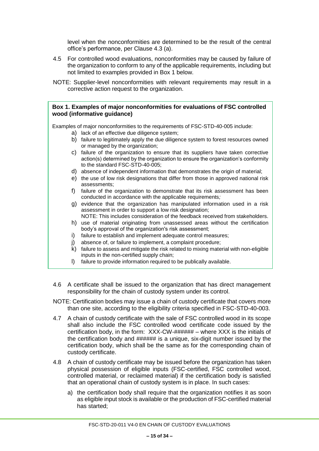level when the nonconformities are determined to be the result of the central office's performance, per Clause 4.3 (a).

- 4.5 For controlled wood evaluations, nonconformities may be caused by failure of the organization to conform to any of the applicable requirements, including but not limited to examples provided in Box 1 below.
- NOTE: Supplier-level nonconformities with relevant requirements may result in a corrective action request to the organization.

#### **Box 1. Examples of major nonconformities for evaluations of FSC controlled wood (informative guidance)**

Examples of major nonconformities to the requirements of FSC-STD-40-005 include:

- a) lack of an effective due diligence system;
- b) failure to legitimately apply the due diligence system to forest resources owned or managed by the organization;
- c) failure of the organization to ensure that its suppliers have taken corrective action(s) determined by the organization to ensure the organization's conformity to the standard FSC-STD-40-005;
- d) absence of independent information that demonstrates the origin of material;
- e) the use of low risk designations that differ from those in approved national risk assessments;
- f) failure of the organization to demonstrate that its risk assessment has been conducted in accordance with the applicable requirements*;*
- g) evidence that the organization has manipulated information used in a risk assessment in order to support a low risk designation;
- NOTE: This includes consideration of the feedback received from stakeholders.
- h) use of material originating from unassessed areas without the certification body's approval of the organization's risk assessment;
- i) failure to establish and implement adequate control measures;
- j) absence of, or failure to implement, a complaint procedure;
- k) failure to assess and mitigate the risk related to mixing material with non-eligible inputs in the non-certified supply chain;
- l) failure to provide information required to be publically available.
- 4.6 A certificate shall be issued to the organization that has direct management responsibility for the chain of custody system under its control.
- NOTE: Certification bodies may issue a chain of custody certificate that covers more than one site, according to the eligibility criteria specified in FSC-STD-40-003.
- 4.7 A chain of custody certificate with the sale of FSC controlled wood in its scope shall also include the FSC controlled wood certificate code issued by the certification body, in the form: XXX-CW-###### – where XXX is the initials of the certification body and ###### is a unique, six-digit number issued by the certification body, which shall be the same as for the corresponding chain of custody certificate.
- 4.8 A chain of custody certificate may be issued before the organization has taken physical possession of eligible inputs (FSC-certified, FSC controlled wood, controlled material, or reclaimed material) if the certification body is satisfied that an operational chain of custody system is in place. In such cases:
	- a) the certification body shall require that the organization notifies it as soon as eligible input stock is available or the production of FSC-certified material has started;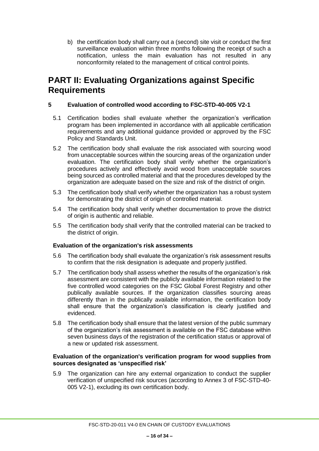b) the certification body shall carry out a (second) site visit or conduct the first surveillance evaluation within three months following the receipt of such a notification, unless the main evaluation has not resulted in any nonconformity related to the management of critical control points.

# <span id="page-15-1"></span><span id="page-15-0"></span>**PART II: Evaluating Organizations against Specific Requirements**

# **5 Evaluation of controlled wood according to FSC-STD-40-005 V2-1**

- 5.1 Certification bodies shall evaluate whether the organization's verification program has been implemented in accordance with all applicable certification requirements and any additional guidance provided or approved by the FSC Policy and Standards Unit.
- 5.2 The certification body shall evaluate the risk associated with sourcing wood from unacceptable sources within the sourcing areas of the organization under evaluation. The certification body shall verify whether the organization's procedures actively and effectively avoid wood from unacceptable sources being sourced as controlled material and that the procedures developed by the organization are adequate based on the size and risk of the district of origin.
- 5.3 The certification body shall verify whether the organization has a robust system for demonstrating the district of origin of controlled material.
- 5.4 The certification body shall verify whether documentation to prove the district of origin is authentic and reliable.
- 5.5 The certification body shall verify that the controlled material can be tracked to the district of origin.

#### **Evaluation of the organization's risk assessments**

- 5.6 The certification body shall evaluate the organization's risk assessment results to confirm that the risk designation is adequate and properly justified.
- 5.7 The certification body shall assess whether the results of the organization's risk assessment are consistent with the publicly available information related to the five controlled wood categories on the FSC Global Forest Registry and other publically available sources. If the organization classifies sourcing areas differently than in the publically available information, the certification body shall ensure that the organization's classification is clearly justified and evidenced.
- 5.8 The certification body shall ensure that the latest version of the public summary of the organization's risk assessment is available on the FSC database within seven business days of the registration of the certification status or approval of a new or updated risk assessment.

#### **Evaluation of the organization's verification program for wood supplies from sources designated as 'unspecified risk'**

5.9 The organization can hire any external organization to conduct the supplier verification of unspecified risk sources (according to Annex 3 of FSC-STD-40- 005 V2-1), excluding its own certification body.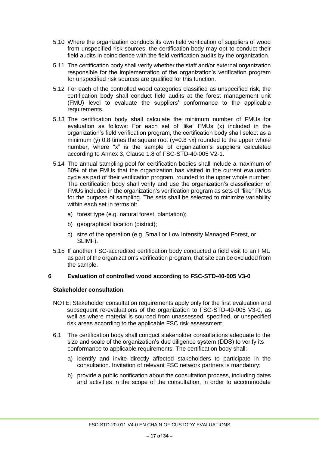- 5.10 Where the organization conducts its own field verification of suppliers of wood from unspecified risk sources, the certification body may opt to conduct their field audits in coincidence with the field verification audits by the organization.
- 5.11 The certification body shall verify whether the staff and/or external organization responsible for the implementation of the organization's verification program for unspecified risk sources are qualified for this function.
- 5.12 For each of the controlled wood categories classified as unspecified risk, the certification body shall conduct field audits at the forest management unit (FMU) level to evaluate the suppliers' conformance to the applicable requirements.
- 5.13 The certification body shall calculate the minimum number of FMUs for evaluation as follows: For each set of 'like' FMUs (x) included in the organization's field verification program, the certification body shall select as a minimum (y) 0.8 times the square root (y=0.8  $\sqrt{x}$ ) rounded to the upper whole number, where "x" is the sample of organization's suppliers calculated according to Annex 3, Clause 1.8 of FSC-STD-40-005 V2-1.
- 5.14 The annual sampling pool for certification bodies shall include a maximum of 50% of the FMUs that the organization has visited in the current evaluation cycle as part of their verification program, rounded to the upper whole number. The certification body shall verify and use the organization's classification of FMUs included in the organization's verification program as sets of "like" FMUs for the purpose of sampling. The sets shall be selected to minimize variability within each set in terms of:
	- a) forest type (e.g. natural forest, plantation);
	- b) geographical location (district);
	- c) size of the operation (e.g. Small or Low Intensity Managed Forest, or SLIMF).
- 5.15 If another FSC-accredited certification body conducted a field visit to an FMU as part of the organization's verification program, that site can be excluded from the sample.

#### **6 Evaluation of controlled wood according to FSC-STD-40-005 V3-0**

#### **Stakeholder consultation**

- NOTE: Stakeholder consultation requirements apply only for the first evaluation and subsequent re-evaluations of the organization to FSC-STD-40-005 V3-0, as well as where material is sourced from unassessed, specified, or unspecified risk areas according to the applicable FSC risk assessment.
- 6.1 The certification body shall conduct stakeholder consultations adequate to the size and scale of the organization's due diligence system (DDS) to verify its conformance to applicable requirements. The certification body shall:
	- a) identify and invite directly affected stakeholders to participate in the consultation. Invitation of relevant FSC network partners is mandatory;
	- b) provide a public notification about the consultation process, including dates and activities in the scope of the consultation, in order to accommodate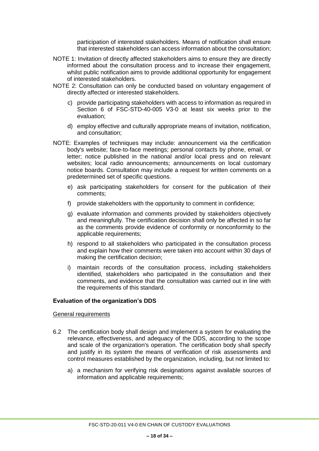participation of interested stakeholders. Means of notification shall ensure that interested stakeholders can access information about the consultation;

- NOTE 1: Invitation of directly affected stakeholders aims to ensure they are directly informed about the consultation process and to increase their engagement, whilst public notification aims to provide additional opportunity for engagement of interested stakeholders.
- NOTE 2: Consultation can only be conducted based on voluntary engagement of directly affected or interested stakeholders.
	- c) provide participating stakeholders with access to information as required in Section 6 of FSC-STD-40-005 V3-0 at least six weeks prior to the evaluation;
	- d) employ effective and culturally appropriate means of invitation, notification, and consultation;
- NOTE: Examples of techniques may include: announcement via the certification body's website; face-to-face meetings; personal contacts by phone, email, or letter; notice published in the national and/or local press and on relevant websites; local radio announcements; announcements on local customary notice boards. Consultation may include a request for written comments on a predetermined set of specific questions.
	- e) ask participating stakeholders for consent for the publication of their comments;
	- f) provide stakeholders with the opportunity to comment in confidence;
	- g) evaluate information and comments provided by stakeholders objectively and meaningfully. The certification decision shall only be affected in so far as the comments provide evidence of conformity or nonconformity to the applicable requirements;
	- h) respond to all stakeholders who participated in the consultation process and explain how their comments were taken into account within 30 days of making the certification decision;
	- i) maintain records of the consultation process, including stakeholders identified, stakeholders who participated in the consultation and their comments, and evidence that the consultation was carried out in line with the requirements of this standard.

#### **Evaluation of the organization's DDS**

General requirements

- 6.2 The certification body shall design and implement a system for evaluating the relevance, effectiveness, and adequacy of the DDS, according to the scope and scale of the organization's operation. The certification body shall specify and justify in its system the means of verification of risk assessments and control measures established by the organization, including, but not limited to:
	- a) a mechanism for verifying risk designations against available sources of information and applicable requirements;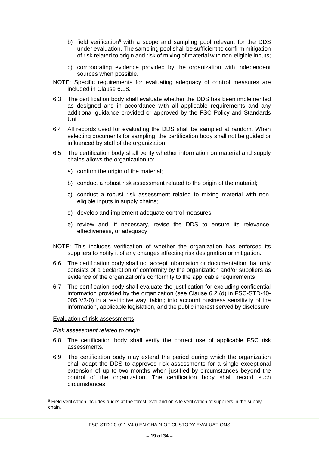- b) field verification<sup>5</sup> with a scope and sampling pool relevant for the DDS under evaluation. The sampling pool shall be sufficient to confirm mitigation of risk related to origin and risk of mixing of material with non-eligible inputs;
- c) corroborating evidence provided by the organization with independent sources when possible.
- NOTE: Specific requirements for evaluating adequacy of control measures are included in Clause 6.18.
- 6.3 The certification body shall evaluate whether the DDS has been implemented as designed and in accordance with all applicable requirements and any additional guidance provided or approved by the FSC Policy and Standards Unit.
- 6.4 All records used for evaluating the DDS shall be sampled at random. When selecting documents for sampling, the certification body shall not be guided or influenced by staff of the organization.
- 6.5 The certification body shall verify whether information on material and supply chains allows the organization to:
	- a) confirm the origin of the material;
	- b) conduct a robust risk assessment related to the origin of the material;
	- c) conduct a robust risk assessment related to mixing material with noneligible inputs in supply chains;
	- d) develop and implement adequate control measures;
	- e) review and, if necessary, revise the DDS to ensure its relevance, effectiveness, or adequacy.
- NOTE: This includes verification of whether the organization has enforced its suppliers to notify it of any changes affecting risk designation or mitigation.
- 6.6 The certification body shall not accept information or documentation that only consists of a declaration of conformity by the organization and/or suppliers as evidence of the organization's conformity to the applicable requirements.
- 6.7 The certification body shall evaluate the justification for excluding confidential information provided by the organization (see Clause 6.2 (d) in FSC-STD-40- 005 V3-0) in a restrictive way, taking into account business sensitivity of the information, applicable legislation, and the public interest served by disclosure.

#### Evaluation of risk assessments

 $\overline{a}$ 

*Risk assessment related to origin*

- 6.8 The certification body shall verify the correct use of applicable FSC risk assessments.
- 6.9 The certification body may extend the period during which the organization shall adapt the DDS to approved risk assessments for a single exceptional extension of up to two months when justified by circumstances beyond the control of the organization. The certification body shall record such circumstances.

<sup>5</sup> Field verification includes audits at the forest level and on-site verification of suppliers in the supply chain.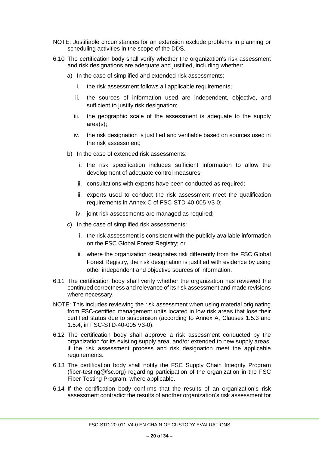- NOTE: Justifiable circumstances for an extension exclude problems in planning or scheduling activities in the scope of the DDS.
- 6.10 The certification body shall verify whether the organization's risk assessment and risk designations are adequate and justified, including whether:
	- a) In the case of simplified and extended risk assessments:
		- i. the risk assessment follows all applicable requirements;
		- ii. the sources of information used are independent, objective, and sufficient to justify risk designation;
		- iii. the geographic scale of the assessment is adequate to the supply area(s);
		- iv. the risk designation is justified and verifiable based on sources used in the risk assessment;
	- b) In the case of extended risk assessments:
		- i. the risk specification includes sufficient information to allow the development of adequate control measures;
		- ii. consultations with experts have been conducted as required;
		- iii. experts used to conduct the risk assessment meet the qualification requirements in Annex C of FSC-STD-40-005 V3-0;
		- iv. joint risk assessments are managed as required;
	- c) In the case of simplified risk assessments:
		- i. the risk assessment is consistent with the publicly available information on the FSC Global Forest Registry; or
		- ii. where the organization designates risk differently from the FSC Global Forest Registry, the risk designation is justified with evidence by using other independent and objective sources of information.
- 6.11 The certification body shall verify whether the organization has reviewed the continued correctness and relevance of its risk assessment and made revisions where necessary.
- NOTE: This includes reviewing the risk assessment when using material originating from FSC-certified management units located in low risk areas that lose their certified status due to suspension (according to Annex A, Clauses 1.5.3 and 1.5.4, in FSC-STD-40-005 V3-0).
- 6.12 The certification body shall approve a risk assessment conducted by the organization for its existing supply area, and/or extended to new supply areas, if the risk assessment process and risk designation meet the applicable requirements.
- 6.13 The certification body shall notify the FSC Supply Chain Integrity Program (fiber-testing@fsc.org) regarding participation of the organization in the FSC Fiber Testing Program, where applicable.
- 6.14 If the certification body confirms that the results of an organization's risk assessment contradict the results of another organization's risk assessment for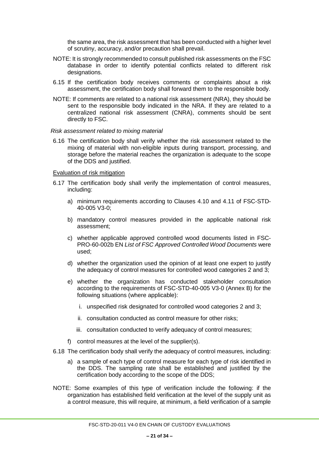the same area, the risk assessment that has been conducted with a higher level of scrutiny, accuracy, and/or precaution shall prevail.

- NOTE: It is strongly recommended to consult published risk assessments on the FSC database in order to identify potential conflicts related to different risk designations.
- 6.15 If the certification body receives comments or complaints about a risk assessment, the certification body shall forward them to the responsible body.
- NOTE: If comments are related to a national risk assessment (NRA), they should be sent to the responsible body indicated in the NRA. If they are related to a centralized national risk assessment (CNRA), comments should be sent directly to FSC.

#### *Risk assessment related to mixing material*

6.16 The certification body shall verify whether the risk assessment related to the mixing of material with non-eligible inputs during transport, processing, and storage before the material reaches the organization is adequate to the scope of the DDS and justified.

#### Evaluation of risk mitigation

- 6.17 The certification body shall verify the implementation of control measures, including:
	- a) minimum requirements according to Clauses 4.10 and 4.11 of FSC-STD-40-005 V3-0;
	- b) mandatory control measures provided in the applicable national risk assessment;
	- c) whether applicable approved controlled wood documents listed in FSC-PRO-60-002b EN *List of FSC Approved Controlled Wood Documents* were used;
	- d) whether the organization used the opinion of at least one expert to justify the adequacy of control measures for controlled wood categories 2 and 3;
	- e) whether the organization has conducted stakeholder consultation according to the requirements of FSC-STD-40-005 V3-0 (Annex B) for the following situations (where applicable):
		- i. unspecified risk designated for controlled wood categories 2 and 3;
		- ii. consultation conducted as control measure for other risks;
		- iii. consultation conducted to verify adequacy of control measures;
	- f) control measures at the level of the supplier(s).
- 6.18 The certification body shall verify the adequacy of control measures, including:
	- a) a sample of each type of control measure for each type of risk identified in the DDS. The sampling rate shall be established and justified by the certification body according to the scope of the DDS;
- NOTE: Some examples of this type of verification include the following: if the organization has established field verification at the level of the supply unit as a control measure, this will require, at minimum, a field verification of a sample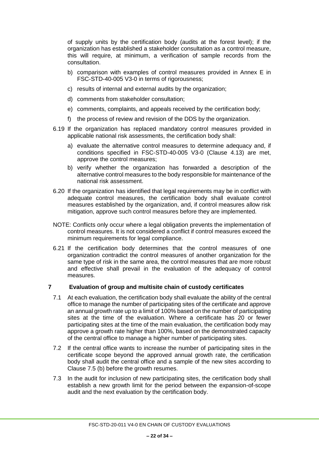of supply units by the certification body (audits at the forest level); if the organization has established a stakeholder consultation as a control measure, this will require, at minimum, a verification of sample records from the consultation.

- b) comparison with examples of control measures provided in Annex E in FSC-STD-40-005 V3-0 in terms of rigorousness;
- c) results of internal and external audits by the organization;
- d) comments from stakeholder consultation;
- e) comments, complaints, and appeals received by the certification body;
- f) the process of review and revision of the DDS by the organization.
- 6.19 If the organization has replaced mandatory control measures provided in applicable national risk assessments, the certification body shall:
	- a) evaluate the alternative control measures to determine adequacy and, if conditions specified in FSC-STD-40-005 V3-0 (Clause 4.13) are met, approve the control measures;
	- b) verify whether the organization has forwarded a description of the alternative control measures to the body responsible for maintenance of the national risk assessment.
- 6.20 If the organization has identified that legal requirements may be in conflict with adequate control measures, the certification body shall evaluate control measures established by the organization, and, if control measures allow risk mitigation, approve such control measures before they are implemented.
- NOTE: Conflicts only occur where a legal obligation prevents the implementation of control measures. It is not considered a conflict if control measures exceed the minimum requirements for legal compliance.
- 6.21 If the certification body determines that the control measures of one organization contradict the control measures of another organization for the same type of risk in the same area, the control measures that are more robust and effective shall prevail in the evaluation of the adequacy of control measures.

#### **7 Evaluation of group and multisite chain of custody certificates**

- 7.1 At each evaluation, the certification body shall evaluate the ability of the central office to manage the number of participating sites of the certificate and approve an annual growth rate up to a limit of 100% based on the number of participating sites at the time of the evaluation. Where a certificate has 20 or fewer participating sites at the time of the main evaluation, the certification body may approve a growth rate higher than 100%, based on the demonstrated capacity of the central office to manage a higher number of participating sites.
- 7.2 If the central office wants to increase the number of participating sites in the certificate scope beyond the approved annual growth rate, the certification body shall audit the central office and a sample of the new sites according to Clause 7.5 (b) before the growth resumes.
- 7.3 In the audit for inclusion of new participating sites, the certification body shall establish a new growth limit for the period between the expansion-of-scope audit and the next evaluation by the certification body.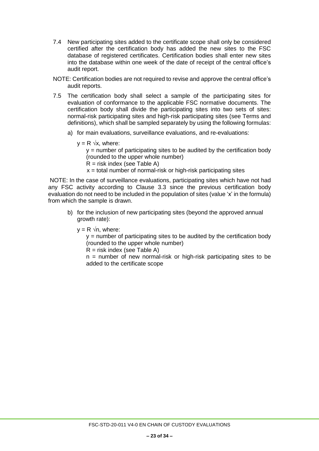- 7.4 New participating sites added to the certificate scope shall only be considered certified after the certification body has added the new sites to the FSC database of registered certificates. Certification bodies shall enter new sites into the database within one week of the date of receipt of the central office's audit report.
- NOTE: Certification bodies are not required to revise and approve the central office's audit reports.
- 7.5 The certification body shall select a sample of the participating sites for evaluation of conformance to the applicable FSC normative documents. The certification body shall divide the participating sites into two sets of sites: normal-risk participating sites and high-risk participating sites (see Terms and definitions), which shall be sampled separately by using the following formulas:
	- a) for main evaluations, surveillance evaluations, and re-evaluations:
		- $y = R \sqrt{x}$ , where:

 $y =$  number of participating sites to be audited by the certification body (rounded to the upper whole number)

- $R =$  risk index (see Table A)
- $x =$  total number of normal-risk or high-risk participating sites

NOTE: In the case of surveillance evaluations, participating sites which have not had any FSC activity according to Clause 3.3 since the previous certification body evaluation do not need to be included in the population of sites (value 'x' in the formula) from which the sample is drawn.

- b) for the inclusion of new participating sites (beyond the approved annual growth rate):
	- $y = R \sqrt{n}$ , where:

 $y =$  number of participating sites to be audited by the certification body (rounded to the upper whole number)

 $R =$  risk index (see Table A)

 $n =$  number of new normal-risk or high-risk participating sites to be added to the certificate scope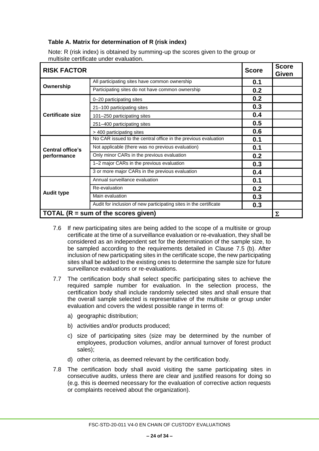# **Table A. Matrix for determination of R (risk index)**

Note: R (risk index) is obtained by summing-up the scores given to the group or multisite certificate under evaluation.

| <b>RISK FACTOR</b><br><b>Score</b>    |                                                                   | <b>Score</b><br>Given |   |
|---------------------------------------|-------------------------------------------------------------------|-----------------------|---|
|                                       | All participating sites have common ownership                     | 0.1                   |   |
| Ownership                             | Participating sites do not have common ownership                  | 0.2                   |   |
|                                       | 0-20 participating sites                                          | 0.2                   |   |
|                                       | 21-100 participating sites                                        | 0.3                   |   |
| <b>Certificate size</b>               | 101-250 participating sites                                       | 0.4                   |   |
|                                       | 251-400 participating sites                                       | 0.5                   |   |
|                                       | > 400 participating sites                                         | 0.6                   |   |
|                                       | No CAR issued to the central office in the previous evaluation    | 0.1                   |   |
| <b>Central office's</b>               | Not applicable (there was no previous evaluation)                 | 0.1                   |   |
| performance                           | Only minor CARs in the previous evaluation                        | 0.2                   |   |
|                                       | 1-2 major CARs in the previous evaluation                         | 0.3                   |   |
|                                       | 3 or more major CARs in the previous evaluation                   | 0.4                   |   |
|                                       | Annual surveillance evaluation                                    | 0.1                   |   |
|                                       | Re-evaluation                                                     | 0.2                   |   |
| <b>Audit type</b>                     | Main evaluation                                                   | 0.3                   |   |
|                                       | Audit for inclusion of new participating sites in the certificate | 0.3                   |   |
| TOTAL $(R = sum of the scores given)$ |                                                                   |                       | Σ |

- 7.6 If new participating sites are being added to the scope of a multisite or group certificate at the time of a surveillance evaluation or re-evaluation, they shall be considered as an independent set for the determination of the sample size, to be sampled according to the requirements detailed in Clause 7.5 (b). After inclusion of new participating sites in the certificate scope, the new participating sites shall be added to the existing ones to determine the sample size for future surveillance evaluations or re-evaluations.
- 7.7 The certification body shall select specific participating sites to achieve the required sample number for evaluation. In the selection process, the certification body shall include randomly selected sites and shall ensure that the overall sample selected is representative of the multisite or group under evaluation and covers the widest possible range in terms of:
	- a) geographic distribution;
	- b) activities and/or products produced;
	- c) size of participating sites (size may be determined by the number of employees, production volumes, and/or annual turnover of forest product sales);
	- d) other criteria, as deemed relevant by the certification body.
- 7.8 The certification body shall avoid visiting the same participating sites in consecutive audits, unless there are clear and justified reasons for doing so (e.g. this is deemed necessary for the evaluation of corrective action requests or complaints received about the organization).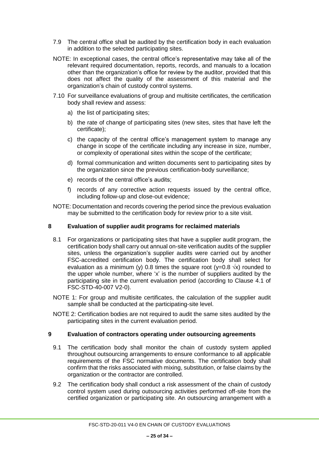- 7.9 The central office shall be audited by the certification body in each evaluation in addition to the selected participating sites.
- NOTE: In exceptional cases, the central office's representative may take all of the relevant required documentation, reports, records, and manuals to a location other than the organization's office for review by the auditor, provided that this does not affect the quality of the assessment of this material and the organization's chain of custody control systems.
- 7.10 For surveillance evaluations of group and multisite certificates, the certification body shall review and assess:
	- a) the list of participating sites;
	- b) the rate of change of participating sites (new sites, sites that have left the certificate);
	- c) the capacity of the central office's management system to manage any change in scope of the certificate including any increase in size, number, or complexity of operational sites within the scope of the certificate;
	- d) formal communication and written documents sent to participating sites by the organization since the previous certification-body surveillance;
	- e) records of the central office's audits;
	- f) records of any corrective action requests issued by the central office, including follow-up and close-out evidence;
- NOTE: Documentation and records covering the period since the previous evaluation may be submitted to the certification body for review prior to a site visit.

#### <span id="page-24-0"></span>**8 Evaluation of supplier audit programs for reclaimed materials**

- 8.1 For organizations or participating sites that have a supplier audit program, the certification body shall carry out annual on-site verification audits of the supplier sites, unless the organization's supplier audits were carried out by another FSC-accredited certification body. The certification body shall select for evaluation as a minimum (y) 0.8 times the square root (y=0.8  $\sqrt{x}$ ) rounded to the upper whole number, where 'x' is the number of suppliers audited by the participating site in the current evaluation period (according to Clause 4.1 of FSC-STD-40-007 V2-0).
- NOTE 1: For group and multisite certificates, the calculation of the supplier audit sample shall be conducted at the participating-site level.
- NOTE 2: Certification bodies are not required to audit the same sites audited by the participating sites in the current evaluation period.

#### **9 Evaluation of contractors operating under outsourcing agreements**

- 9.1 The certification body shall monitor the chain of custody system applied throughout outsourcing arrangements to ensure conformance to all applicable requirements of the FSC normative documents. The certification body shall confirm that the risks associated with mixing, substitution, or false claims by the organization or the contractor are controlled.
- 9.2 The certification body shall conduct a risk assessment of the chain of custody control system used during outsourcing activities performed off-site from the certified organization or participating site. An outsourcing arrangement with a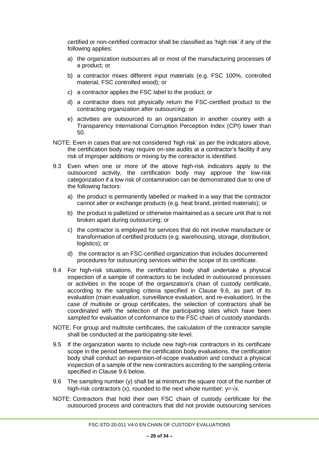certified or non-certified contractor shall be classified as 'high risk' if any of the following applies:

- a) the organization outsources all or most of the manufacturing processes of a product; or
- b) a contractor mixes different input materials (e.g. FSC 100%, controlled material, FSC controlled wood); or
- c) a contractor applies the FSC label to the product; or
- d) a contractor does not physically return the FSC-certified product to the contracting organization after outsourcing; or
- e) activities are outsourced to an organization in another country with a Transparency International Corruption Perception Index (CPI) lower than 50.
- NOTE: Even in cases that are not considered 'high risk' as per the indicators above, the certification body may require on-site audits at a contractor's facility if any risk of improper additions or mixing by the contractor is identified.
- 9.3 Even when one or more of the above high-risk indicators apply to the outsourced activity, the certification body may approve the low-risk categorization if a low risk of contamination can be demonstrated due to one of the following factors:
	- a) the product is permanently labelled or marked in a way that the contractor cannot alter or exchange products (e.g. heat brand, printed materials); or
	- b) the product is palletized or otherwise maintained as a secure unit that is not broken apart during outsourcing; or
	- c) the contractor is employed for services that do not involve manufacture or transformation of certified products (e.g. warehousing, storage, distribution, logistics); or
	- d) the contractor is an FSC-certified organization that includes documented procedures for outsourcing services within the scope of its certificate.
- 9.4 For high-risk situations, the certification body shall undertake a physical inspection of a sample of contractors to be included in outsourced processes or activities in the scope of the organization's chain of custody certificate, according to the sampling criteria specified in Clause 9.6, as part of its evaluation (main evaluation, surveillance evaluation, and re-evaluation). In the case of multisite or group certificates, the selection of contractors shall be coordinated with the selection of the participating sites which have been sampled for evaluation of conformance to the FSC chain of custody standards.
- NOTE: For group and multisite certificates, the calculation of the contractor sample shall be conducted at the participating-site level.
- 9.5 If the organization wants to include new high-risk contractors in its certificate scope in the period between the certification body evaluations, the certification body shall conduct an expansion-of-scope evaluation and conduct a physical inspection of a sample of the new contractors according to the sampling criteria specified in Clause 9.6 below.
- 9.6 The sampling number (y) shall be at minimum the square root of the number of high-risk contractors (x), rounded to the next whole number:  $y = \sqrt{x}$ .
- NOTE: Contractors that hold their own FSC chain of custody certificate for the outsourced process and contractors that did not provide outsourcing services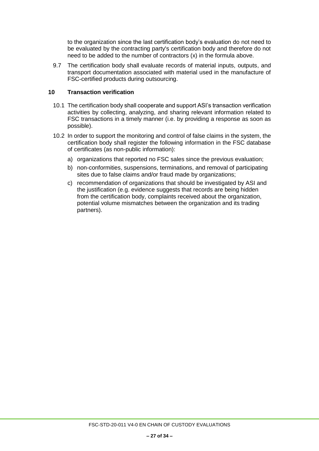to the organization since the last certification body's evaluation do not need to be evaluated by the contracting party's certification body and therefore do not need to be added to the number of contractors (x) in the formula above.

9.7 The certification body shall evaluate records of material inputs, outputs, and transport documentation associated with material used in the manufacture of FSC-certified products during outsourcing.

# **10 Transaction verification**

- 10.1 The certification body shall cooperate and support ASI's transaction verification activities by collecting, analyzing, and sharing relevant information related to FSC transactions in a timely manner (i.e. by providing a response as soon as possible).
- 10.2 In order to support the monitoring and control of false claims in the system, the certification body shall register the following information in the FSC database of certificates (as non-public information):
	- a) organizations that reported no FSC sales since the previous evaluation;
	- b) non-conformities, suspensions, terminations, and removal of participating sites due to false claims and/or fraud made by organizations;
	- c) recommendation of organizations that should be investigated by ASI and the justification (e.g. evidence suggests that records are being hidden from the certification body, complaints received about the organization, potential volume mismatches between the organization and its trading partners).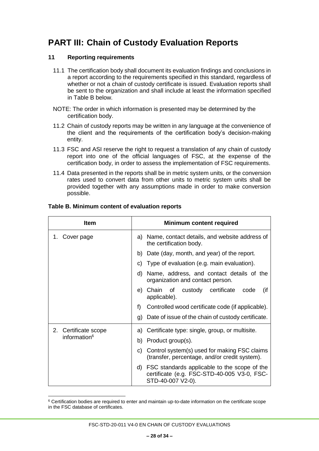# <span id="page-27-0"></span>**PART III: Chain of Custody Evaluation Reports**

## **11 Reporting requirements**

- 11.1 The certification body shall document its evaluation findings and conclusions in a report according to the requirements specified in this standard, regardless of whether or not a chain of custody certificate is issued. Evaluation reports shall be sent to the organization and shall include at least the information specified in Table B below.
- NOTE: The order in which information is presented may be determined by the certification body.
- 11.2 Chain of custody reports may be written in any language at the convenience of the client and the requirements of the certification body's decision-making entity.
- 11.3 FSC and ASI reserve the right to request a translation of any chain of custody report into one of the official languages of FSC, at the expense of the certification body, in order to assess the implementation of FSC requirements.
- 11.4 Data presented in the reports shall be in metric system units, or the conversion rates used to convert data from other units to metric system units shall be provided together with any assumptions made in order to make conversion possible.

| <b>Item</b>                                      | <b>Minimum content required</b>                                                                                     |  |
|--------------------------------------------------|---------------------------------------------------------------------------------------------------------------------|--|
| 1. Cover page                                    | a) Name, contact details, and website address of<br>the certification body.                                         |  |
|                                                  | Date (day, month, and year) of the report.<br>b)                                                                    |  |
|                                                  | c) Type of evaluation (e.g. main evaluation).                                                                       |  |
|                                                  | Name, address, and contact details of the<br>d)<br>organization and contact person.                                 |  |
|                                                  | e) Chain of custody certificate<br>(if<br>code<br>applicable).                                                      |  |
|                                                  | f<br>Controlled wood certificate code (if applicable).                                                              |  |
|                                                  | Date of issue of the chain of custody certificate.<br>g)                                                            |  |
| 2. Certificate scope<br>information <sup>6</sup> | a) Certificate type: single, group, or multisite.                                                                   |  |
|                                                  | b) Product group(s).                                                                                                |  |
|                                                  | c) Control system(s) used for making FSC claims<br>(transfer, percentage, and/or credit system).                    |  |
|                                                  | d) FSC standards applicable to the scope of the<br>certificate (e.g. FSC-STD-40-005 V3-0, FSC-<br>STD-40-007 V2-0). |  |

#### **Table B. Minimum content of evaluation reports**

 $\overline{a}$ <sup>6</sup> Certification bodies are required to enter and maintain up-to-date information on the certificate scope in the FSC database of certificates.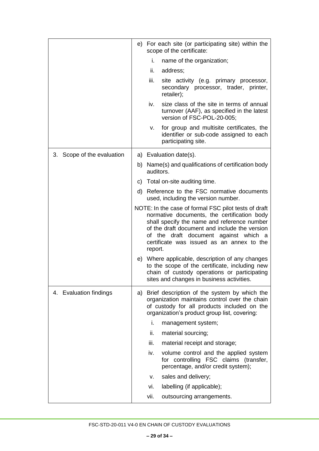|                            | e) For each site (or participating site) within the<br>scope of the certificate: |           |                                                                                                                                                                                                                                                                                           |
|----------------------------|----------------------------------------------------------------------------------|-----------|-------------------------------------------------------------------------------------------------------------------------------------------------------------------------------------------------------------------------------------------------------------------------------------------|
|                            |                                                                                  | i.        | name of the organization;                                                                                                                                                                                                                                                                 |
|                            |                                                                                  | ii.       | address;                                                                                                                                                                                                                                                                                  |
|                            |                                                                                  | iii.      | site activity (e.g. primary processor,<br>secondary processor, trader, printer,<br>retailer);                                                                                                                                                                                             |
|                            |                                                                                  | iv.       | size class of the site in terms of annual<br>turnover (AAF), as specified in the latest<br>version of FSC-POL-20-005;                                                                                                                                                                     |
|                            |                                                                                  | ۷.        | for group and multisite certificates, the<br>identifier or sub-code assigned to each<br>participating site.                                                                                                                                                                               |
| 3. Scope of the evaluation |                                                                                  |           | a) Evaluation date(s).                                                                                                                                                                                                                                                                    |
|                            |                                                                                  | auditors. | b) Name(s) and qualifications of certification body                                                                                                                                                                                                                                       |
|                            |                                                                                  |           | c) Total on-site auditing time.                                                                                                                                                                                                                                                           |
|                            |                                                                                  |           | d) Reference to the FSC normative documents<br>used, including the version number.                                                                                                                                                                                                        |
|                            |                                                                                  | report.   | NOTE: In the case of formal FSC pilot tests of draft<br>normative documents, the certification body<br>shall specify the name and reference number<br>of the draft document and include the version<br>of the draft document against which a<br>certificate was issued as an annex to the |
|                            |                                                                                  |           | e) Where applicable, description of any changes<br>to the scope of the certificate, including new<br>chain of custody operations or participating<br>sites and changes in business activities.                                                                                            |
| 4. Evaluation findings     |                                                                                  |           | a) Brief description of the system by which the<br>organization maintains control over the chain<br>of custody for all products included on the<br>organization's product group list, covering:                                                                                           |
|                            |                                                                                  | i.        | management system;                                                                                                                                                                                                                                                                        |
|                            |                                                                                  | ii.       | material sourcing;                                                                                                                                                                                                                                                                        |
|                            |                                                                                  | iii.      | material receipt and storage;                                                                                                                                                                                                                                                             |
|                            |                                                                                  | iv.       | volume control and the applied system<br>for controlling FSC claims (transfer,<br>percentage, and/or credit system);                                                                                                                                                                      |
|                            |                                                                                  | v.        | sales and delivery;                                                                                                                                                                                                                                                                       |
|                            |                                                                                  | vi.       | labelling (if applicable);                                                                                                                                                                                                                                                                |
|                            |                                                                                  | vii.      | outsourcing arrangements.                                                                                                                                                                                                                                                                 |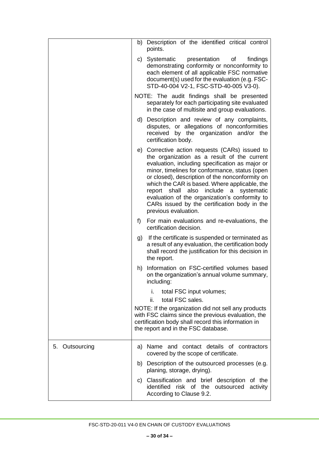|                | b) Description of the identified critical control<br>points.                                                                                                                                                                                                                                                                                                                                                                                                                        |
|----------------|-------------------------------------------------------------------------------------------------------------------------------------------------------------------------------------------------------------------------------------------------------------------------------------------------------------------------------------------------------------------------------------------------------------------------------------------------------------------------------------|
|                | findings<br>c) Systematic<br>presentation<br>of<br>demonstrating conformity or nonconformity to<br>each element of all applicable FSC normative<br>document(s) used for the evaluation (e.g. FSC-<br>STD-40-004 V2-1, FSC-STD-40-005 V3-0).                                                                                                                                                                                                                                         |
|                | NOTE: The audit findings shall be presented<br>separately for each participating site evaluated<br>in the case of multisite and group evaluations.                                                                                                                                                                                                                                                                                                                                  |
|                | d) Description and review of any complaints,<br>disputes, or allegations of nonconformities<br>received by the organization and/or the<br>certification body.                                                                                                                                                                                                                                                                                                                       |
|                | e) Corrective action requests (CARs) issued to<br>the organization as a result of the current<br>evaluation, including specification as major or<br>minor, timelines for conformance, status (open<br>or closed), description of the nonconformity on<br>which the CAR is based. Where applicable, the<br>include a<br>report shall<br>also<br>systematic<br>evaluation of the organization's conformity to<br>CARs issued by the certification body in the<br>previous evaluation. |
|                | f<br>For main evaluations and re-evaluations, the<br>certification decision.                                                                                                                                                                                                                                                                                                                                                                                                        |
|                | If the certificate is suspended or terminated as<br>g)<br>a result of any evaluation, the certification body<br>shall record the justification for this decision in<br>the report.                                                                                                                                                                                                                                                                                                  |
|                | h) Information on FSC-certified volumes based<br>on the organization's annual volume summary,<br>including:                                                                                                                                                                                                                                                                                                                                                                         |
|                | total FSC input volumes;<br>i.<br>total FSC sales.<br>ii.                                                                                                                                                                                                                                                                                                                                                                                                                           |
|                | NOTE: If the organization did not sell any products<br>with FSC claims since the previous evaluation, the<br>certification body shall record this information in<br>the report and in the FSC database.                                                                                                                                                                                                                                                                             |
| 5. Outsourcing | a) Name and contact details of contractors<br>covered by the scope of certificate.                                                                                                                                                                                                                                                                                                                                                                                                  |
|                | b) Description of the outsourced processes (e.g.<br>planing, storage, drying).                                                                                                                                                                                                                                                                                                                                                                                                      |
|                | c) Classification and brief description of the<br>identified risk of the outsourced<br>activity<br>According to Clause 9.2.                                                                                                                                                                                                                                                                                                                                                         |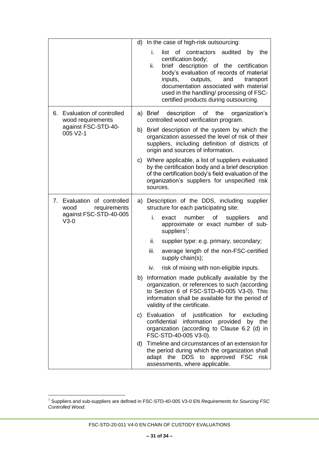|                                                                                        | d) In the case of high-risk outsourcing:                                                                                                                                                                                                                                                                                                         |
|----------------------------------------------------------------------------------------|--------------------------------------------------------------------------------------------------------------------------------------------------------------------------------------------------------------------------------------------------------------------------------------------------------------------------------------------------|
|                                                                                        | i.<br>of contractors audited<br>list<br>the<br>by<br>certification body;<br>ii.<br>brief description of the certification<br>body's evaluation of records of material<br>inputs,<br>outputs,<br>and<br>transport<br>documentation associated with material<br>used in the handling/ processing of FSC-<br>certified products during outsourcing. |
| Evaluation of controlled<br>6.<br>wood requirements<br>against FSC-STD-40-<br>005 V2-1 | a) Brief description<br>of<br>the<br>organization's<br>controlled wood verification program.                                                                                                                                                                                                                                                     |
|                                                                                        | b) Brief description of the system by which the<br>organization assessed the level of risk of their<br>suppliers, including definition of districts of<br>origin and sources of information.                                                                                                                                                     |
|                                                                                        | c) Where applicable, a list of suppliers evaluated<br>by the certification body and a brief description<br>of the certification body's field evaluation of the<br>organization's suppliers for unspecified risk<br>sources.                                                                                                                      |
| 7. Evaluation of controlled<br>requirements<br>wood                                    | a) Description of the DDS, including supplier<br>structure for each participating site:                                                                                                                                                                                                                                                          |
| against FSC-STD-40-005<br>$V3-0$                                                       | number of<br>i.<br>exact<br>suppliers<br>and<br>approximate or exact number of sub-<br>suppliers <sup>7</sup> ;                                                                                                                                                                                                                                  |
|                                                                                        | ii.<br>supplier type: e.g. primary, secondary;                                                                                                                                                                                                                                                                                                   |
|                                                                                        | iii.<br>average length of the non-FSC-certified<br>supply chain(s);                                                                                                                                                                                                                                                                              |
|                                                                                        | risk of mixing with non-eligible inputs.<br>iv.                                                                                                                                                                                                                                                                                                  |
|                                                                                        | b) Information made publically available by the<br>organization, or references to such (according<br>to Section 6 of FSC-STD-40-005 V3-0). This<br>information shall be available for the period of<br>validity of the certificate.                                                                                                              |
|                                                                                        | c) Evaluation<br>of justification<br>for<br>excluding<br>confidential<br>information provided<br>by the<br>organization (according to Clause 6.2 (d) in<br>FSC-STD-40-005 V3-0).                                                                                                                                                                 |
|                                                                                        | d) Timeline and circumstances of an extension for<br>the period during which the organization shall<br>adapt the DDS to approved<br><b>FSC</b><br>risk<br>assessments, where applicable.                                                                                                                                                         |

 $\overline{a}$ 

FSC-STD-20-011 V4-0 EN CHAIN OF CUSTODY EVALUATIONS

<sup>7</sup> Suppliers and sub-suppliers are defined in FSC-STD-40-005 V3-0 EN *Requirements for Sourcing FSC Controlled Wood*.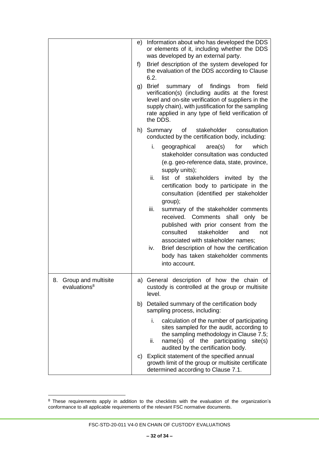|                                                       | e) | Information about who has developed the DDS<br>or elements of it, including whether the DDS<br>was developed by an external party.                                                                                                                                                                                                                                                                                                                                                                                                                                                                                                               |
|-------------------------------------------------------|----|--------------------------------------------------------------------------------------------------------------------------------------------------------------------------------------------------------------------------------------------------------------------------------------------------------------------------------------------------------------------------------------------------------------------------------------------------------------------------------------------------------------------------------------------------------------------------------------------------------------------------------------------------|
|                                                       | f) | Brief description of the system developed for<br>the evaluation of the DDS according to Clause<br>6.2.                                                                                                                                                                                                                                                                                                                                                                                                                                                                                                                                           |
|                                                       | g) | <b>Brief</b><br>summary of<br>findings<br>from<br>field<br>verification(s) (including audits at the forest<br>level and on-site verification of suppliers in the<br>supply chain), with justification for the sampling<br>rate applied in any type of field verification of<br>the DDS.                                                                                                                                                                                                                                                                                                                                                          |
|                                                       |    | h) Summary of<br>stakeholder<br>consultation<br>conducted by the certification body, including:                                                                                                                                                                                                                                                                                                                                                                                                                                                                                                                                                  |
|                                                       |    | i.<br>area(s)<br>for<br>which<br>geographical<br>stakeholder consultation was conducted<br>(e.g. geo-reference data, state, province,<br>supply units);<br>ii.<br>list of stakeholders invited<br>by<br>the<br>certification body to participate in the<br>consultation (identified per stakeholder<br>group);<br>iii.<br>summary of the stakeholder comments<br>received.<br>Comments shall<br>only<br>be<br>published with prior consent from the<br>consulted<br>stakeholder<br>and<br>not<br>associated with stakeholder names;<br>Brief description of how the certification<br>iv.<br>body has taken stakeholder comments<br>into account. |
| Group and multisite<br>8.<br>evaluations <sup>8</sup> |    | a) General description of how the chain of<br>custody is controlled at the group or multisite<br>level.                                                                                                                                                                                                                                                                                                                                                                                                                                                                                                                                          |
|                                                       |    | b) Detailed summary of the certification body<br>sampling process, including:                                                                                                                                                                                                                                                                                                                                                                                                                                                                                                                                                                    |
|                                                       |    | calculation of the number of participating<br>i.<br>sites sampled for the audit, according to<br>the sampling methodology in Clause 7.5;<br>name(s) of the participating<br>site(s)<br>ii.<br>audited by the certification body.                                                                                                                                                                                                                                                                                                                                                                                                                 |
|                                                       |    | c) Explicit statement of the specified annual<br>growth limit of the group or multisite certificate<br>determined according to Clause 7.1.                                                                                                                                                                                                                                                                                                                                                                                                                                                                                                       |

 $\overline{a}$ 

 $8$  These requirements apply in addition to the checklists with the evaluation of the organization's conformance to all applicable requirements of the relevant FSC normative documents.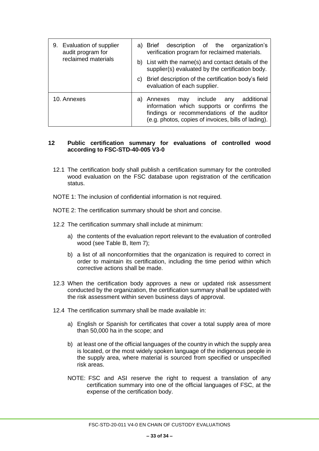| Evaluation of supplier<br>9.<br>audit program for | a) Brief description of the organization's<br>verification program for reclaimed materials.                                                                                                             |
|---------------------------------------------------|---------------------------------------------------------------------------------------------------------------------------------------------------------------------------------------------------------|
| reclaimed materials                               | b) List with the name(s) and contact details of the<br>supplier(s) evaluated by the certification body.                                                                                                 |
|                                                   | Brief description of the certification body's field<br>C)<br>evaluation of each supplier.                                                                                                               |
| 10. Annexes                                       | include<br>additional<br>Annexes<br>any<br>may<br>a)<br>information which supports or confirms the<br>findings or recommendations of the auditor<br>(e.g. photos, copies of invoices, bills of lading). |

# **12 Public certification summary for evaluations of controlled wood according to FSC-STD-40-005 V3-0**

- 12.1 The certification body shall publish a certification summary for the controlled wood evaluation on the FSC database upon registration of the certification status.
- NOTE 1: The inclusion of confidential information is not required.
- NOTE 2: The certification summary should be short and concise.
- 12.2 The certification summary shall include at minimum:
	- a) the contents of the evaluation report relevant to the evaluation of controlled wood (see Table B, Item 7);
	- b) a list of all nonconformities that the organization is required to correct in order to maintain its certification, including the time period within which corrective actions shall be made.
- 12.3 When the certification body approves a new or updated risk assessment conducted by the organization, the certification summary shall be updated with the risk assessment within seven business days of approval.
- 12.4 The certification summary shall be made available in:
	- a) English or Spanish for certificates that cover a total supply area of more than 50,000 ha in the scope; and
	- b) at least one of the official languages of the country in which the supply area is located, or the most widely spoken language of the indigenous people in the supply area, where material is sourced from specified or unspecified risk areas.
	- NOTE: FSC and ASI reserve the right to request a translation of any certification summary into one of the official languages of FSC, at the expense of the certification body.